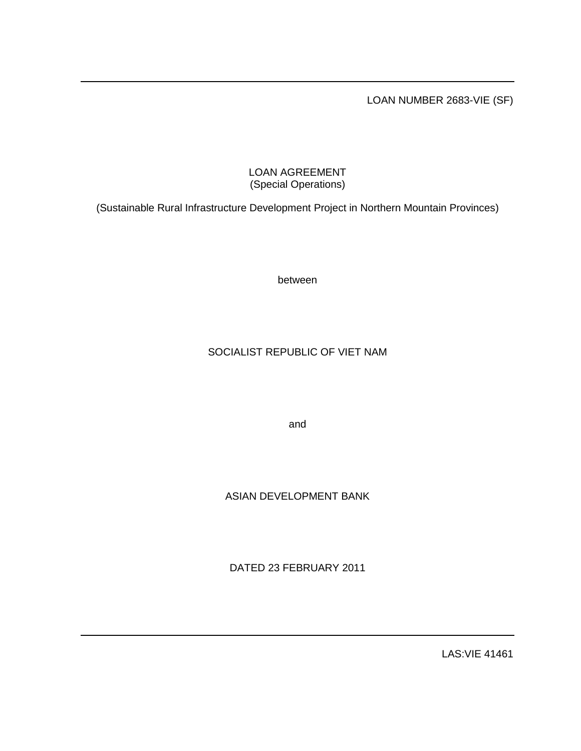LOAN NUMBER 2683-VIE (SF)

# LOAN AGREEMENT (Special Operations)

(Sustainable Rural Infrastructure Development Project in Northern Mountain Provinces)

between

# SOCIALIST REPUBLIC OF VIET NAM

and

# ASIAN DEVELOPMENT BANK

DATED 23 FEBRUARY 2011

LAS:VIE 41461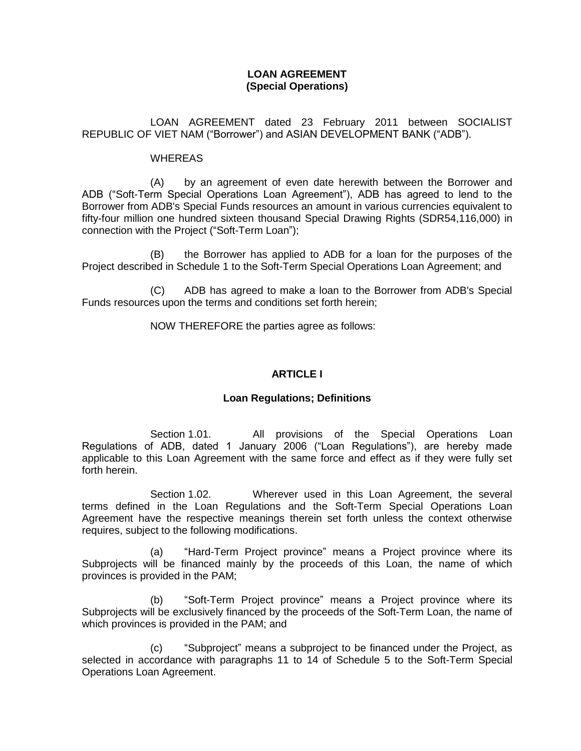### **LOAN AGREEMENT (Special Operations)**

LOAN AGREEMENT dated 23 February 2011 between SOCIALIST REPUBLIC OF VIET NAM ("Borrower") and ASIAN DEVELOPMENT BANK ("ADB").

#### WHEREAS

(A) by an agreement of even date herewith between the Borrower and ADB ("Soft-Term Special Operations Loan Agreement"), ADB has agreed to lend to the Borrower from ADB's Special Funds resources an amount in various currencies equivalent to fifty-four million one hundred sixteen thousand Special Drawing Rights (SDR54,116,000) in connection with the Project ("Soft-Term Loan");

(B) the Borrower has applied to ADB for a loan for the purposes of the Project described in Schedule 1 to the Soft-Term Special Operations Loan Agreement; and

(C) ADB has agreed to make a loan to the Borrower from ADB's Special Funds resources upon the terms and conditions set forth herein;

NOW THEREFORE the parties agree as follows:

## **ARTICLE I**

#### **Loan Regulations; Definitions**

Section 1.01. All provisions of the Special Operations Loan Regulations of ADB, dated 1 January 2006 ("Loan Regulations"), are hereby made applicable to this Loan Agreement with the same force and effect as if they were fully set forth herein.

Section 1.02. Wherever used in this Loan Agreement, the several terms defined in the Loan Regulations and the Soft-Term Special Operations Loan Agreement have the respective meanings therein set forth unless the context otherwise requires, subject to the following modifications.

(a) "Hard-Term Project province" means a Project province where its Subprojects will be financed mainly by the proceeds of this Loan, the name of which provinces is provided in the PAM;

(b) "Soft-Term Project province" means a Project province where its Subprojects will be exclusively financed by the proceeds of the Soft-Term Loan, the name of which provinces is provided in the PAM; and

(c) "Subproject" means a subproject to be financed under the Project, as selected in accordance with paragraphs 11 to 14 of Schedule 5 to the Soft-Term Special Operations Loan Agreement.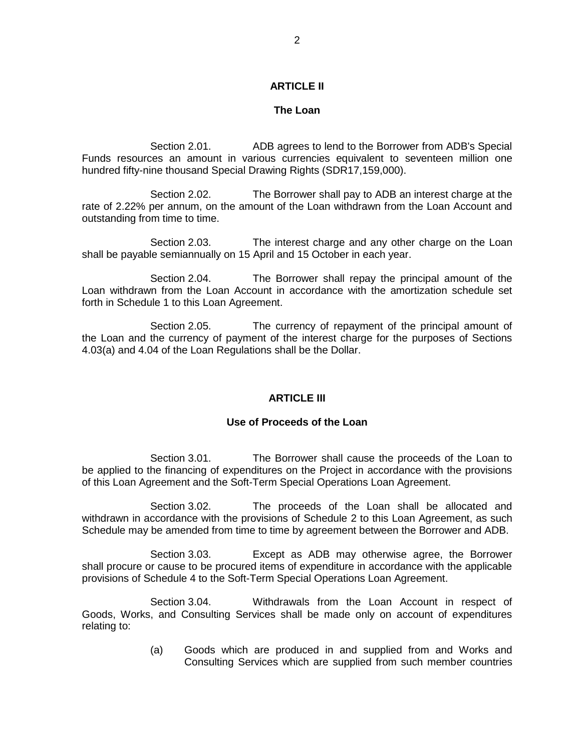#### **ARTICLE II**

#### **The Loan**

Section 2.01. ADB agrees to lend to the Borrower from ADB's Special Funds resources an amount in various currencies equivalent to seventeen million one hundred fifty-nine thousand Special Drawing Rights (SDR17,159,000).

Section 2.02. The Borrower shall pay to ADB an interest charge at the rate of 2.22% per annum, on the amount of the Loan withdrawn from the Loan Account and outstanding from time to time.

Section 2.03. The interest charge and any other charge on the Loan shall be payable semiannually on 15 April and 15 October in each year.

Section 2.04. The Borrower shall repay the principal amount of the Loan withdrawn from the Loan Account in accordance with the amortization schedule set forth in Schedule 1 to this Loan Agreement.

Section 2.05. The currency of repayment of the principal amount of the Loan and the currency of payment of the interest charge for the purposes of Sections 4.03(a) and 4.04 of the Loan Regulations shall be the Dollar.

#### **ARTICLE III**

### **Use of Proceeds of the Loan**

Section 3.01. The Borrower shall cause the proceeds of the Loan to be applied to the financing of expenditures on the Project in accordance with the provisions of this Loan Agreement and the Soft-Term Special Operations Loan Agreement.

Section 3.02. The proceeds of the Loan shall be allocated and withdrawn in accordance with the provisions of Schedule 2 to this Loan Agreement, as such Schedule may be amended from time to time by agreement between the Borrower and ADB.

Section 3.03. Except as ADB may otherwise agree, the Borrower shall procure or cause to be procured items of expenditure in accordance with the applicable provisions of Schedule 4 to the Soft-Term Special Operations Loan Agreement.

Section 3.04. Withdrawals from the Loan Account in respect of Goods, Works, and Consulting Services shall be made only on account of expenditures relating to:

> (a) Goods which are produced in and supplied from and Works and Consulting Services which are supplied from such member countries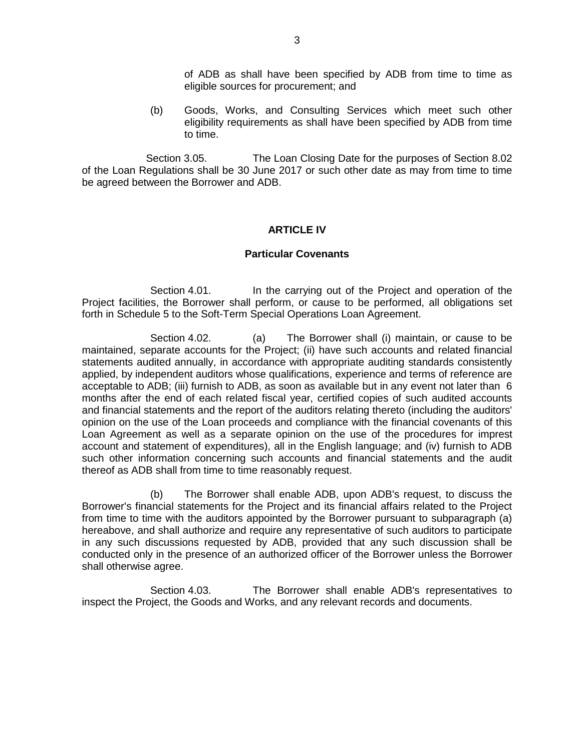of ADB as shall have been specified by ADB from time to time as eligible sources for procurement; and

(b) Goods, Works, and Consulting Services which meet such other eligibility requirements as shall have been specified by ADB from time to time.

Section 3.05. The Loan Closing Date for the purposes of Section 8.02 of the Loan Regulations shall be 30 June 2017 or such other date as may from time to time be agreed between the Borrower and ADB.

#### **ARTICLE IV**

#### **Particular Covenants**

Section 4.01. In the carrying out of the Project and operation of the Project facilities, the Borrower shall perform, or cause to be performed, all obligations set forth in Schedule 5 to the Soft-Term Special Operations Loan Agreement.

Section 4.02. (a) The Borrower shall (i) maintain, or cause to be maintained, separate accounts for the Project; (ii) have such accounts and related financial statements audited annually, in accordance with appropriate auditing standards consistently applied, by independent auditors whose qualifications, experience and terms of reference are acceptable to ADB; (iii) furnish to ADB, as soon as available but in any event not later than 6 months after the end of each related fiscal year, certified copies of such audited accounts and financial statements and the report of the auditors relating thereto (including the auditors' opinion on the use of the Loan proceeds and compliance with the financial covenants of this Loan Agreement as well as a separate opinion on the use of the procedures for imprest account and statement of expenditures), all in the English language; and (iv) furnish to ADB such other information concerning such accounts and financial statements and the audit thereof as ADB shall from time to time reasonably request.

(b) The Borrower shall enable ADB, upon ADB's request, to discuss the Borrower's financial statements for the Project and its financial affairs related to the Project from time to time with the auditors appointed by the Borrower pursuant to subparagraph (a) hereabove, and shall authorize and require any representative of such auditors to participate in any such discussions requested by ADB, provided that any such discussion shall be conducted only in the presence of an authorized officer of the Borrower unless the Borrower shall otherwise agree.

Section 4.03. The Borrower shall enable ADB's representatives to inspect the Project, the Goods and Works, and any relevant records and documents.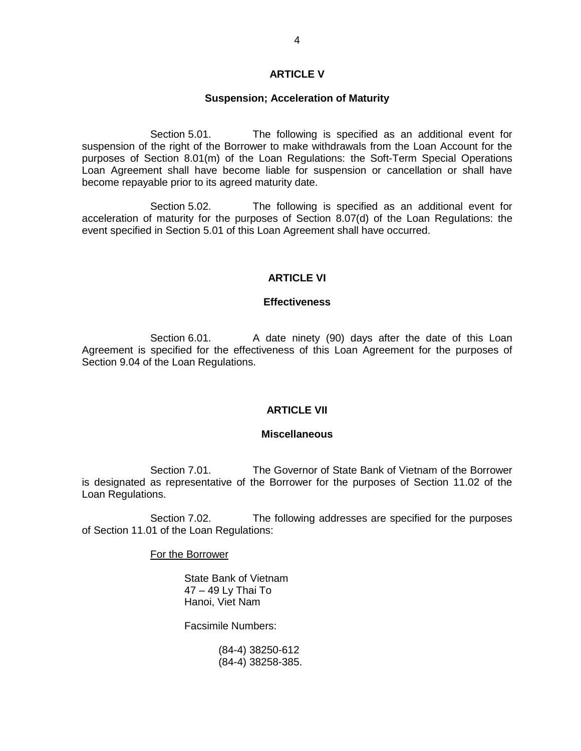### **ARTICLE V**

#### **Suspension; Acceleration of Maturity**

Section 5.01. The following is specified as an additional event for suspension of the right of the Borrower to make withdrawals from the Loan Account for the purposes of Section 8.01(m) of the Loan Regulations: the Soft-Term Special Operations Loan Agreement shall have become liable for suspension or cancellation or shall have become repayable prior to its agreed maturity date.

Section 5.02. The following is specified as an additional event for acceleration of maturity for the purposes of Section 8.07(d) of the Loan Regulations: the event specified in Section 5.01 of this Loan Agreement shall have occurred.

### **ARTICLE VI**

#### **Effectiveness**

Section 6.01. A date ninety (90) days after the date of this Loan Agreement is specified for the effectiveness of this Loan Agreement for the purposes of Section 9.04 of the Loan Regulations.

#### **ARTICLE VII**

#### **Miscellaneous**

Section 7.01. The Governor of State Bank of Vietnam of the Borrower is designated as representative of the Borrower for the purposes of Section 11.02 of the Loan Regulations.

Section 7.02. The following addresses are specified for the purposes of Section 11.01 of the Loan Regulations:

For the Borrower

State Bank of Vietnam 47 – 49 Ly Thai To Hanoi, Viet Nam

Facsimile Numbers:

(84-4) 38250-612 (84-4) 38258-385.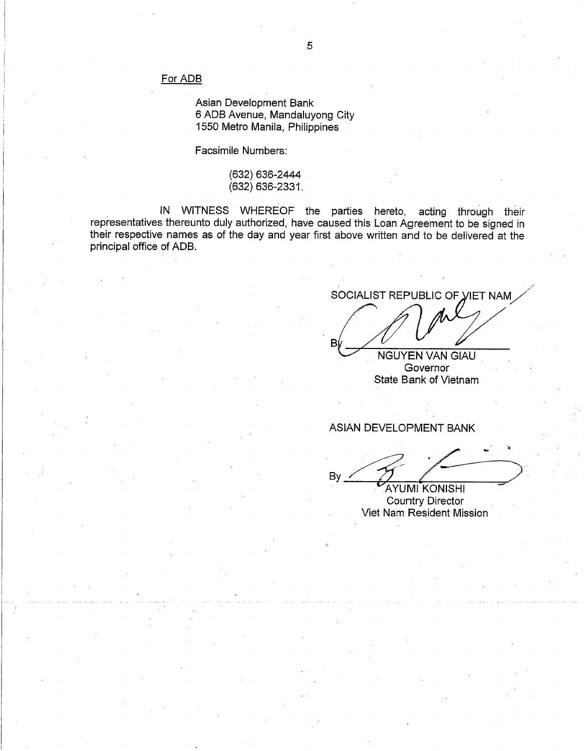#### For ADB

Asian Development Bank 6 ADB Avenue, Mandaluyong City 1550 Metro Manila, Philippines

Facsimile Numbers:

(632) 636-2444 (632) 636-2331.

IN WITNESS WHEREOF the parties hereto, acting through their representatives thereunto duly authorized, have caused this Loan Agreement to be signed in their respective names as of the day and year first above written and to be delivered at the principal office of ADB.

SOCIALIST REPUBLIC OF VIET NAM

**NGUYEN VAN GIAU** Governor State Bank of Vietnam

### ASIAN DEVELOPMENT BANK

Bv

**AYUMI KONISHI Country Director** Viet Nam Resident Mission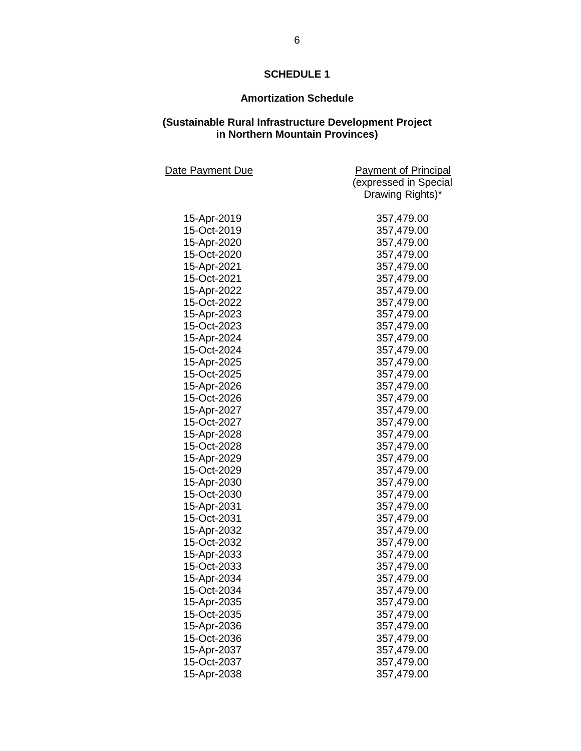# **SCHEDULE 1**

# **Amortization Schedule**

#### **(Sustainable Rural Infrastructure Development Project in Northern Mountain Provinces)**

| Date Payment Due | <b>Payment of Principal</b> |
|------------------|-----------------------------|
|                  | (expressed in Special       |
|                  | Drawing Rights)*            |
| 15-Apr-2019      | 357,479.00                  |
| 15-Oct-2019      | 357,479.00                  |
| 15-Apr-2020      | 357,479.00                  |
| 15-Oct-2020      | 357,479.00                  |
| 15-Apr-2021      | 357,479.00                  |
| 15-Oct-2021      | 357,479.00                  |
| 15-Apr-2022      | 357,479.00                  |
| 15-Oct-2022      | 357,479.00                  |
| 15-Apr-2023      | 357,479.00                  |
| 15-Oct-2023      | 357,479.00                  |
| 15-Apr-2024      | 357,479.00                  |
| 15-Oct-2024      | 357,479.00                  |
| 15-Apr-2025      | 357,479.00                  |
| 15-Oct-2025      | 357,479.00                  |
| 15-Apr-2026      | 357,479.00                  |
| 15-Oct-2026      | 357,479.00                  |
| 15-Apr-2027      | 357,479.00                  |
| 15-Oct-2027      | 357,479.00                  |
| 15-Apr-2028      | 357,479.00                  |
| 15-Oct-2028      | 357,479.00                  |
| 15-Apr-2029      | 357,479.00                  |
| 15-Oct-2029      | 357,479.00                  |
| 15-Apr-2030      | 357,479.00                  |
| 15-Oct-2030      | 357,479.00                  |
| 15-Apr-2031      | 357,479.00                  |
| 15-Oct-2031      | 357,479.00                  |
| 15-Apr-2032      | 357,479.00                  |
| 15-Oct-2032      | 357,479.00                  |
| 15-Apr-2033      | 357,479.00                  |
| 15-Oct-2033      | 357,479.00                  |
| 15-Apr-2034      | 357,479.00                  |
| 15-Oct-2034      | 357,479.00                  |
| 15-Apr-2035      | 357,479.00                  |
| 15-Oct-2035      | 357,479.00                  |
| 15-Apr-2036      | 357,479.00                  |
| 15-Oct-2036      | 357,479.00                  |
| 15-Apr-2037      | 357,479.00                  |
| 15-Oct-2037      | 357,479.00                  |
| 15-Apr-2038      | 357,479.00                  |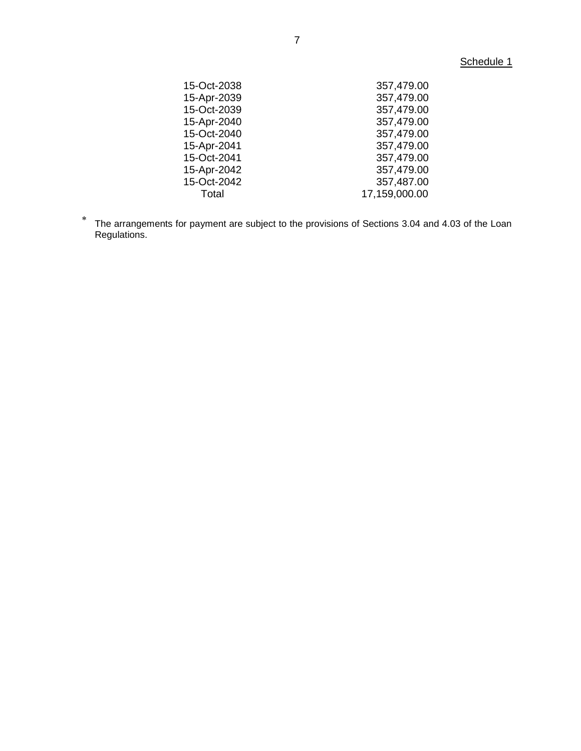# Schedule 1

| 15-Oct-2038 | 357,479.00    |
|-------------|---------------|
| 15-Apr-2039 | 357,479.00    |
| 15-Oct-2039 | 357,479.00    |
| 15-Apr-2040 | 357,479.00    |
| 15-Oct-2040 | 357,479.00    |
| 15-Apr-2041 | 357,479.00    |
| 15-Oct-2041 | 357,479.00    |
| 15-Apr-2042 | 357,479.00    |
| 15-Oct-2042 | 357,487.00    |
| Total       | 17,159,000.00 |
|             |               |

The arrangements for payment are subject to the provisions of Sections 3.04 and 4.03 of the Loan Regulations.

 $\ddot{\phantom{1}}$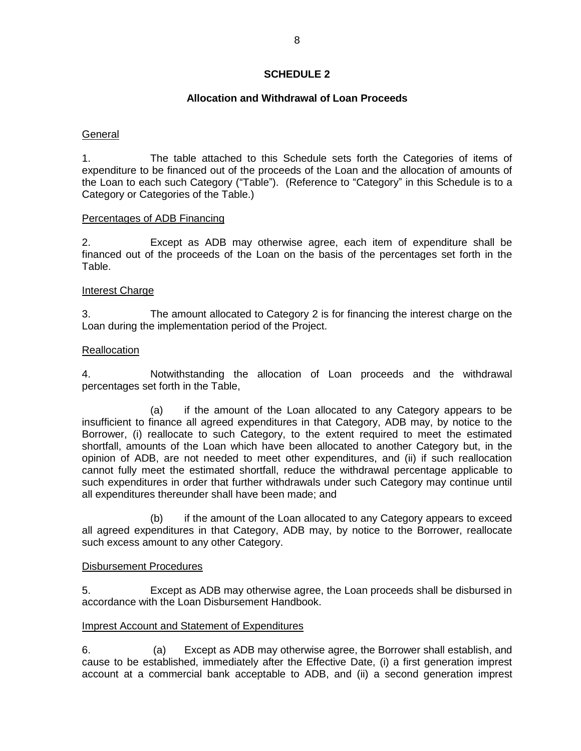### **SCHEDULE 2**

## **Allocation and Withdrawal of Loan Proceeds**

### General

1. The table attached to this Schedule sets forth the Categories of items of expenditure to be financed out of the proceeds of the Loan and the allocation of amounts of the Loan to each such Category ("Table"). (Reference to "Category" in this Schedule is to a Category or Categories of the Table.)

#### Percentages of ADB Financing

2. Except as ADB may otherwise agree, each item of expenditure shall be financed out of the proceeds of the Loan on the basis of the percentages set forth in the Table.

### Interest Charge

3. The amount allocated to Category 2 is for financing the interest charge on the Loan during the implementation period of the Project.

### **Reallocation**

4. Notwithstanding the allocation of Loan proceeds and the withdrawal percentages set forth in the Table,

(a) if the amount of the Loan allocated to any Category appears to be insufficient to finance all agreed expenditures in that Category, ADB may, by notice to the Borrower, (i) reallocate to such Category, to the extent required to meet the estimated shortfall, amounts of the Loan which have been allocated to another Category but, in the opinion of ADB, are not needed to meet other expenditures, and (ii) if such reallocation cannot fully meet the estimated shortfall, reduce the withdrawal percentage applicable to such expenditures in order that further withdrawals under such Category may continue until all expenditures thereunder shall have been made; and

(b) if the amount of the Loan allocated to any Category appears to exceed all agreed expenditures in that Category, ADB may, by notice to the Borrower, reallocate such excess amount to any other Category.

#### Disbursement Procedures

5. Except as ADB may otherwise agree, the Loan proceeds shall be disbursed in accordance with the Loan Disbursement Handbook.

#### Imprest Account and Statement of Expenditures

6. (a) Except as ADB may otherwise agree, the Borrower shall establish, and cause to be established, immediately after the Effective Date, (i) a first generation imprest account at a commercial bank acceptable to ADB, and (ii) a second generation imprest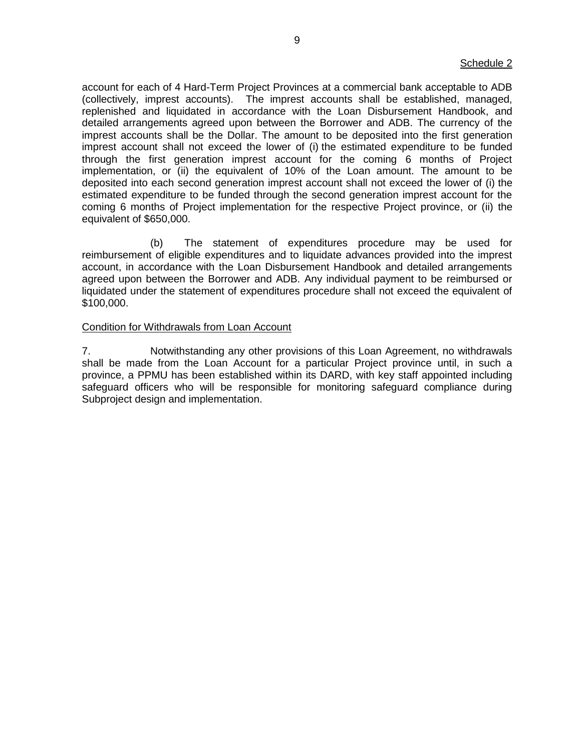account for each of 4 Hard-Term Project Provinces at a commercial bank acceptable to ADB (collectively, imprest accounts). The imprest accounts shall be established, managed, replenished and liquidated in accordance with the Loan Disbursement Handbook, and detailed arrangements agreed upon between the Borrower and ADB. The currency of the imprest accounts shall be the Dollar. The amount to be deposited into the first generation imprest account shall not exceed the lower of (i) the estimated expenditure to be funded through the first generation imprest account for the coming 6 months of Project implementation, or (ii) the equivalent of 10% of the Loan amount. The amount to be deposited into each second generation imprest account shall not exceed the lower of (i) the estimated expenditure to be funded through the second generation imprest account for the coming 6 months of Project implementation for the respective Project province, or (ii) the equivalent of \$650,000.

(b) The statement of expenditures procedure may be used for reimbursement of eligible expenditures and to liquidate advances provided into the imprest account, in accordance with the Loan Disbursement Handbook and detailed arrangements agreed upon between the Borrower and ADB. Any individual payment to be reimbursed or liquidated under the statement of expenditures procedure shall not exceed the equivalent of \$100,000.

#### Condition for Withdrawals from Loan Account

7. Notwithstanding any other provisions of this Loan Agreement, no withdrawals shall be made from the Loan Account for a particular Project province until, in such a province, a PPMU has been established within its DARD, with key staff appointed including safeguard officers who will be responsible for monitoring safeguard compliance during Subproject design and implementation.